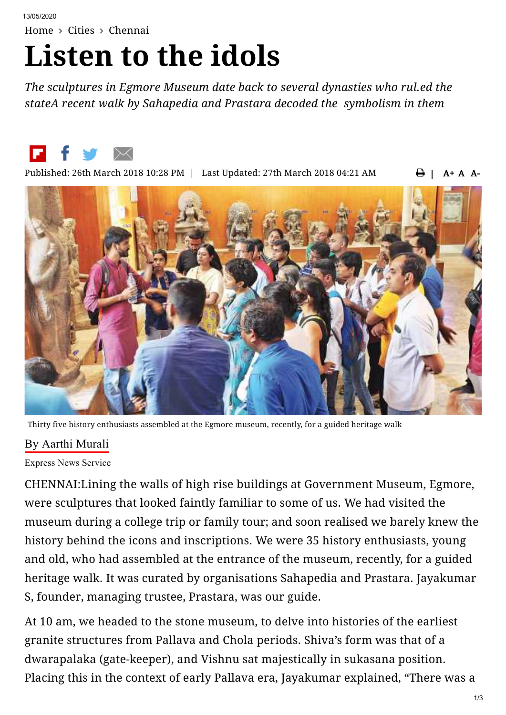[Home](https://www.newindianexpress.com/) > [Cities](https://www.newindianexpress.com/cities) > [Chennai](https://www.newindianexpress.com/cities/chennai)

## **Listen to the idols**

*The sculptures in Egmore Museum date back to several dynasties who rul.ed the stateA recent walk by Sahapedia and Prastara decoded the symbolism in them*



 | A+ A A-Published: 26th March 2018 10:28 PM | Last Updated: 27th March 2018 04:21 AM



Thirty five history enthusiasts assembled at the Egmore museum, recently, for a guided heritage walk

## By Aarthi [Murali](https://www.newindianexpress.com/author/Aarthi-Murali/17440)

Express News Service

CHENNAI:Lining the walls of high rise buildings at Government Museum, Egmore, were sculptures that looked faintly familiar to some of us. We had visited the museum during a college trip or family tour; and soon realised we barely knew the history behind the icons and inscriptions. We were 35 history enthusiasts, young and old, who had assembled at the entrance of the museum, recently, for a guided heritage walk. It was curated by organisations Sahapedia and Prastara. Jayakumar S, founder, managing trustee, Prastara, was our guide.

At 10 am, we headed to the stone museum, to delve into histories of the earliest granite structures from Pallava and Chola periods. Shiva's form was that of a dwarapalaka (gate-keeper), and Vishnu sat majestically in sukasana position. Placing this in the context of early Pallava era, Jayakumar explained, "There was a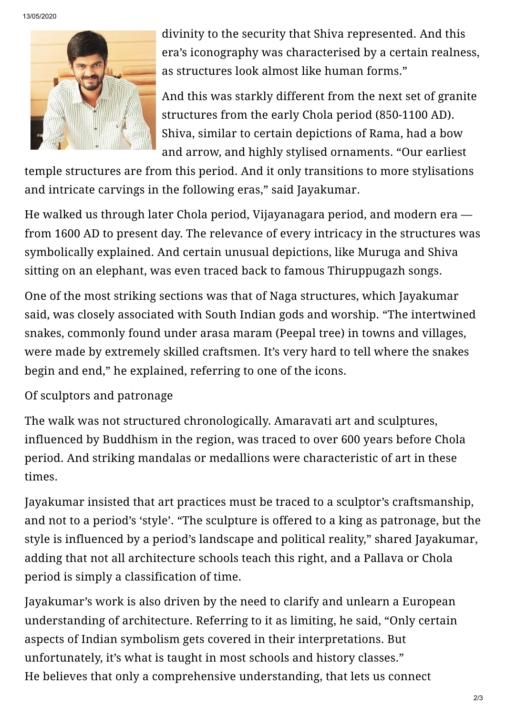

divinity to the security that Shiva represented. And this era's iconography was characterised by a certain realness, as structures look almost like human forms."

And this was starkly different from the next set of granite structures from the early Chola period (850-1100 AD). Shiva, similar to certain depictions of Rama, had a bow and arrow, and highly stylised ornaments. "Our earliest

temple structures are from this period. And it only transitions to more stylisations and intricate carvings in the following eras," said Jayakumar.

He walked us through later Chola period, Vijayanagara period, and modern era from 1600 AD to present day. The relevance of every intricacy in the structures was symbolically explained. And certain unusual depictions, like Muruga and Shiva sitting on an elephant, was even traced back to famous Thiruppugazh songs.

One of the most striking sections was that of Naga structures, which Jayakumar said, was closely associated with South Indian gods and worship. "The intertwined snakes, commonly found under arasa maram (Peepal tree) in towns and villages, were made by extremely skilled craftsmen. It's very hard to tell where the snakes begin and end," he explained, referring to one of the icons.

Of sculptors and patronage

The walk was not structured chronologically. Amaravati art and sculptures, influenced by Buddhism in the region, was traced to over 600 years before Chola period. And striking mandalas or medallions were characteristic of art in these times.

Jayakumar insisted that art practices must be traced to a sculptor's craftsmanship, and not to a period's 'style'. "The sculpture is offered to a king as patronage, but the style is influenced by a period's landscape and political reality," shared Jayakumar, adding that not all architecture schools teach this right, and a Pallava or Chola period is simply a classification of time.

Jayakumar's work is also driven by the need to clarify and unlearn a European understanding of architecture. Referring to it as limiting, he said, "Only certain aspects of Indian symbolism gets covered in their interpretations. But unfortunately, it's what is taught in most schools and history classes." He believes that only a comprehensive understanding, that lets us connect